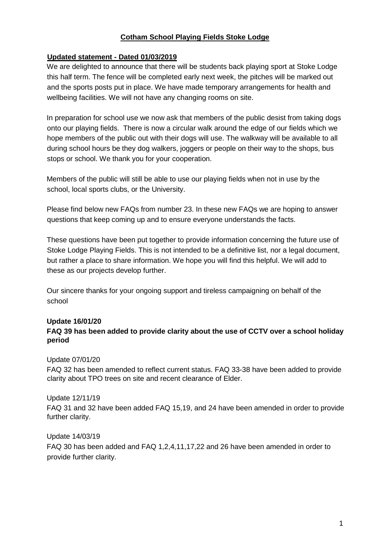## **Cotham School Playing Fields Stoke Lodge**

### **Updated statement - Dated 01/03/2019**

We are delighted to announce that there will be students back playing sport at Stoke Lodge this half term. The fence will be completed early next week, the pitches will be marked out and the sports posts put in place. We have made temporary arrangements for health and wellbeing facilities. We will not have any changing rooms on site.

In preparation for school use we now ask that members of the public desist from taking dogs onto our playing fields. There is now a circular walk around the edge of our fields which we hope members of the public out with their dogs will use. The walkway will be available to all during school hours be they dog walkers, joggers or people on their way to the shops, bus stops or school. We thank you for your cooperation.

Members of the public will still be able to use our playing fields when not in use by the school, local sports clubs, or the University.

Please find below new FAQs from number 23. In these new FAQs we are hoping to answer questions that keep coming up and to ensure everyone understands the facts.

These questions have been put together to provide information concerning the future use of Stoke Lodge Playing Fields. This is not intended to be a definitive list, nor a legal document, but rather a place to share information. We hope you will find this helpful. We will add to these as our projects develop further.

Our sincere thanks for your ongoing support and tireless campaigning on behalf of the school

#### **Update 16/01/20**

## **FAQ 39 has been added to provide clarity about the use of CCTV over a school holiday period**

#### Update 07/01/20

FAQ 32 has been amended to reflect current status. FAQ 33-38 have been added to provide clarity about TPO trees on site and recent clearance of Elder.

#### Update 12/11/19

FAQ 31 and 32 have been added FAQ 15,19, and 24 have been amended in order to provide further clarity.

#### Update 14/03/19

FAQ 30 has been added and FAQ 1,2,4,11,17,22 and 26 have been amended in order to provide further clarity.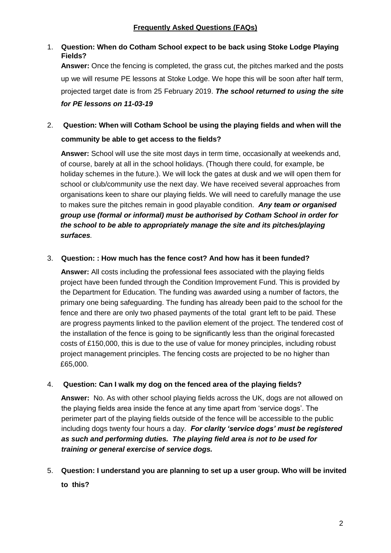# 1. **Question: When do Cotham School expect to be back using Stoke Lodge Playing Fields?**

**Answer:** Once the fencing is completed, the grass cut, the pitches marked and the posts up we will resume PE lessons at Stoke Lodge. We hope this will be soon after half term, projected target date is from 25 February 2019. *The school returned to using the site for PE lessons on 11-03-19* 

# 2. **Question: When will Cotham School be using the playing fields and when will the community be able to get access to the fields?**

 **Answer:** School will use the site most days in term time, occasionally at weekends and, of course, barely at all in the school holidays. (Though there could, for example, be holiday schemes in the future.). We will lock the gates at dusk and we will open them for school or club/community use the next day. We have received several approaches from organisations keen to share our playing fields. We will need to carefully manage the use to makes sure the pitches remain in good playable condition. *Any team or organised group use (formal or informal) must be authorised by Cotham School in order for the school to be able to appropriately manage the site and its pitches/playing surfaces.* 

## 3. **Question: : How much has the fence cost? And how has it been funded?**

 **Answer:** All costs including the professional fees associated with the playing fields project have been funded through the Condition Improvement Fund. This is provided by the Department for Education. The funding was awarded using a number of factors, the primary one being safeguarding. The funding has already been paid to the school for the fence and there are only two phased payments of the total grant left to be paid. These are progress payments linked to the pavilion element of the project. The tendered cost of the installation of the fence is going to be significantly less than the original forecasted costs of £150,000, this is due to the use of value for money principles, including robust project management principles. The fencing costs are projected to be no higher than £65,000.

## 4. **Question: Can I walk my dog on the fenced area of the playing fields?**

**Answer:** No. As with other school playing fields across the UK, dogs are not allowed on the playing fields area inside the fence at any time apart from 'service dogs'. The perimeter part of the playing fields outside of the fence will be accessible to the public including dogs twenty four hours a day. *For clarity 'service dogs' must be registered as such and performing duties. The playing field area is not to be used for training or general exercise of service dogs.* 

5. **Question: I understand you are planning to set up a user group. Who will be invited to this?**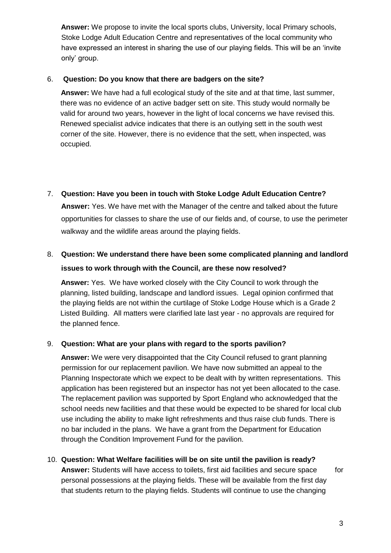**Answer:** We propose to invite the local sports clubs, University, local Primary schools, Stoke Lodge Adult Education Centre and representatives of the local community who have expressed an interest in sharing the use of our playing fields. This will be an 'invite only' group.

## 6. **Question: Do you know that there are badgers on the site?**

 **Answer:** We have had a full ecological study of the site and at that time, last summer, there was no evidence of an active badger sett on site. This study would normally be valid for around two years, however in the light of local concerns we have revised this. Renewed specialist advice indicates that there is an outlying sett in the south west corner of the site. However, there is no evidence that the sett, when inspected, was occupied.

7. **Question: Have you been in touch with Stoke Lodge Adult Education Centre? Answer:** Yes. We have met with the Manager of the centre and talked about the future opportunities for classes to share the use of our fields and, of course, to use the perimeter walkway and the wildlife areas around the playing fields.

# 8. **Question: We understand there have been some complicated planning and landlord issues to work through with the Council, are these now resolved?**

 **Answer:** Yes. We have worked closely with the City Council to work through the planning, listed building, landscape and landlord issues. Legal opinion confirmed that the playing fields are not within the curtilage of Stoke Lodge House which is a Grade 2 Listed Building. All matters were clarified late last year - no approvals are required for the planned fence.

# 9. **Question: What are your plans with regard to the sports pavilion?**

**Answer:** We were very disappointed that the City Council refused to grant planning permission for our replacement pavilion. We have now submitted an appeal to the Planning Inspectorate which we expect to be dealt with by written representations. This application has been registered but an inspector has not yet been allocated to the case. The replacement pavilion was supported by Sport England who acknowledged that the school needs new facilities and that these would be expected to be shared for local club use including the ability to make light refreshments and thus raise club funds. There is no bar included in the plans. We have a grant from the Department for Education through the Condition Improvement Fund for the pavilion.

10. **Question: What Welfare facilities will be on site until the pavilion is ready? Answer:** Students will have access to toilets, first aid facilities and secure space for personal possessions at the playing fields. These will be available from the first day that students return to the playing fields. Students will continue to use the changing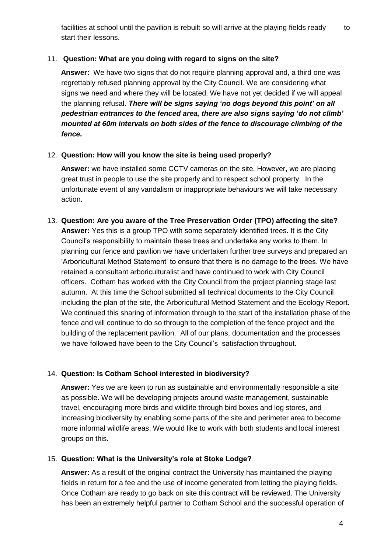facilities at school until the pavilion is rebuilt so will arrive at the playing fields ready to start their lessons.

## 11. **Question: What are you doing with regard to signs on the site?**

**Answer:** We have two signs that do not require planning approval and, a third one was regrettably refused planning approval by the City Council. We are considering what signs we need and where they will be located. We have not yet decided if we will appeal the planning refusal. *There will be signs saying 'no dogs beyond this point' on all pedestrian entrances to the fenced area, there are also signs saying 'do not climb' mounted at 60m intervals on both sides of the fence to discourage climbing of the fence.*

## 12. **Question: How will you know the site is being used properly?**

**Answer:** we have installed some CCTV cameras on the site. However, we are placing great trust in people to use the site properly and to respect school property. In the unfortunate event of any vandalism or inappropriate behaviours we will take necessary action.

13. **Question: Are you aware of the Tree Preservation Order (TPO) affecting the site? Answer:** Yes this is a group TPO with some separately identified trees. It is the City Council's responsibility to maintain these trees and undertake any works to them. In planning our fence and pavilion we have undertaken further tree surveys and prepared an 'Arboricultural Method Statement' to ensure that there is no damage to the trees. We have retained a consultant arboriculturalist and have continued to work with City Council officers. Cotham has worked with the City Council from the project planning stage last autumn. At this time the School submitted all technical documents to the City Council including the plan of the site, the Arboricultural Method Statement and the Ecology Report. We continued this sharing of information through to the start of the installation phase of the fence and will continue to do so through to the completion of the fence project and the building of the replacement pavilion. All of our plans, documentation and the processes we have followed have been to the City Council's satisfaction throughout.

# 14. **Question: Is Cotham School interested in biodiversity?**

**Answer:** Yes we are keen to run as sustainable and environmentally responsible a site as possible. We will be developing projects around waste management, sustainable travel, encouraging more birds and wildlife through bird boxes and log stores, and increasing biodiversity by enabling some parts of the site and perimeter area to become more informal wildlife areas. We would like to work with both students and local interest groups on this.

## 15. **Question: What is the University's role at Stoke Lodge?**

**Answer:** As a result of the original contract the University has maintained the playing fields in return for a fee and the use of income generated from letting the playing fields. Once Cotham are ready to go back on site this contract will be reviewed. The University has been an extremely helpful partner to Cotham School and the successful operation of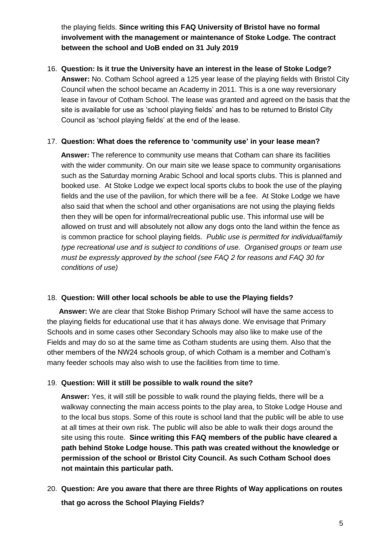the playing fields. **Since writing this FAQ University of Bristol have no formal involvement with the management or maintenance of Stoke Lodge. The contract between the school and UoB ended on 31 July 2019** 

16. **Question: Is it true the University have an interest in the lease of Stoke Lodge? Answer:** No. Cotham School agreed a 125 year lease of the playing fields with Bristol City Council when the school became an Academy in 2011. This is a one way reversionary lease in favour of Cotham School. The lease was granted and agreed on the basis that the site is available for use as 'school playing fields' and has to be returned to Bristol City Council as 'school playing fields' at the end of the lease.

## 17. **Question: What does the reference to 'community use' in your lease mean?**

**Answer:** The reference to community use means that Cotham can share its facilities with the wider community. On our main site we lease space to community organisations such as the Saturday morning Arabic School and local sports clubs. This is planned and booked use. At Stoke Lodge we expect local sports clubs to book the use of the playing fields and the use of the pavilion, for which there will be a fee. At Stoke Lodge we have also said that when the school and other organisations are not using the playing fields then they will be open for informal/recreational public use. This informal use will be allowed on trust and will absolutely not allow any dogs onto the land within the fence as is common practice for school playing fields. *Public use is permitted for individual/family type recreational use and is subject to conditions of use. Organised groups or team use must be expressly approved by the school (see FAQ 2 for reasons and FAQ 30 for conditions of use)* 

## 18. **Question: Will other local schools be able to use the Playing fields?**

 **Answer:** We are clear that Stoke Bishop Primary School will have the same access to the playing fields for educational use that it has always done. We envisage that Primary Schools and in some cases other Secondary Schools may also like to make use of the Fields and may do so at the same time as Cotham students are using them. Also that the other members of the NW24 schools group, of which Cotham is a member and Cotham's many feeder schools may also wish to use the facilities from time to time.

## 19. **Question: Will it still be possible to walk round the site?**

**Answer:** Yes, it will still be possible to walk round the playing fields, there will be a walkway connecting the main access points to the play area, to Stoke Lodge House and to the local bus stops. Some of this route is school land that the public will be able to use at all times at their own risk. The public will also be able to walk their dogs around the site using this route. **Since writing this FAQ members of the public have cleared a path behind Stoke Lodge house. This path was created without the knowledge or permission of the school or Bristol City Council. As such Cotham School does not maintain this particular path.** 

20. **Question: Are you aware that there are three Rights of Way applications on routes that go across the School Playing Fields?**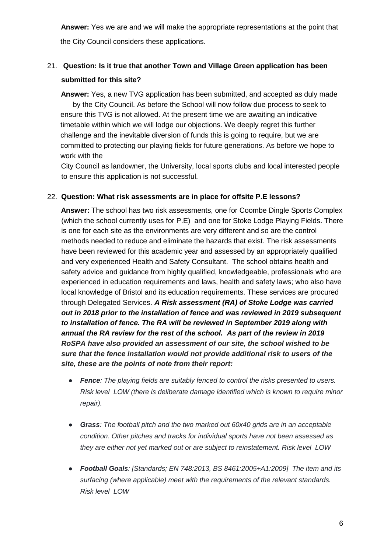**Answer:** Yes we are and we will make the appropriate representations at the point that the City Council considers these applications.

# 21. **Question: Is it true that another Town and Village Green application has been submitted for this site?**

 **Answer:** Yes, a new TVG application has been submitted, and accepted as duly made by the City Council. As before the School will now follow due process to seek to ensure this TVG is not allowed. At the present time we are awaiting an indicative timetable within which we will lodge our objections. We deeply regret this further challenge and the inevitable diversion of funds this is going to require, but we are committed to protecting our playing fields for future generations. As before we hope to work with the

City Council as landowner, the University, local sports clubs and local interested people to ensure this application is not successful.

## 22. **Question: What risk assessments are in place for offsite P.E lessons?**

**Answer:** The school has two risk assessments, one for Coombe Dingle Sports Complex (which the school currently uses for P.E) and one for Stoke Lodge Playing Fields. There is one for each site as the environments are very different and so are the control methods needed to reduce and eliminate the hazards that exist. The risk assessments have been reviewed for this academic year and assessed by an appropriately qualified and very experienced Health and Safety Consultant. The school obtains health and safety advice and guidance from highly qualified, knowledgeable, professionals who are experienced in education requirements and laws, health and safety laws; who also have local knowledge of Bristol and its education requirements. These services are procured through Delegated Services. *A Risk assessment (RA) of Stoke Lodge was carried out in 2018 prior to the installation of fence and was reviewed in 2019 subsequent to installation of fence. The RA will be reviewed in September 2019 along with annual the RA review for the rest of the school. As part of the review in 2019 RoSPA have also provided an assessment of our site, the school wished to be sure that the fence installation would not provide additional risk to users of the site, these are the points of note from their report:* 

- *● Fence: The playing fields are suitably fenced to control the risks presented to users. Risk level LOW (there is deliberate damage identified which is known to require minor repair).*
- *● Grass: The football pitch and the two marked out 60x40 grids are in an acceptable condition. Other pitches and tracks for individual sports have not been assessed as they are either not yet marked out or are subject to reinstatement. Risk level LOW*
- *● Football Goals: [Standards; EN 748:2013, BS 8461:2005+A1:2009] The item and its surfacing (where applicable) meet with the requirements of the relevant standards. Risk level LOW*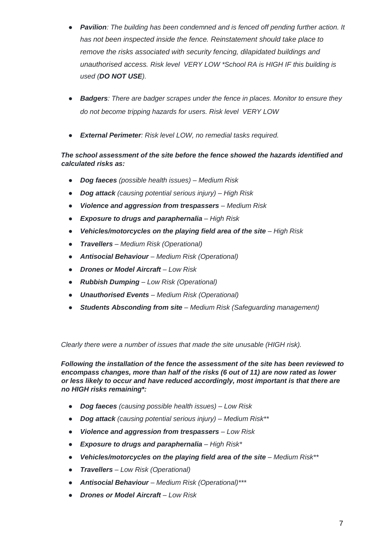- *● Pavilion: The building has been condemned and is fenced off pending further action. It has not been inspected inside the fence. Reinstatement should take place to remove the risks associated with security fencing, dilapidated buildings and unauthorised access. Risk level VERY LOW \*School RA is HIGH IF this building is used (DO NOT USE).*
- *● Badgers: There are badger scrapes under the fence in places. Monitor to ensure they do not become tripping hazards for users. Risk level VERY LOW*
- *● External Perimeter: Risk level LOW, no remedial tasks required.*

## *The school assessment of the site before the fence showed the hazards identified and calculated risks as:*

- *● Dog faeces (possible health issues) – Medium Risk*
- *● Dog attack (causing potential serious injury) – High Risk*
- *● Violence and aggression from trespassers – Medium Risk*
- *● Exposure to drugs and paraphernalia – High Risk*
- *● Vehicles/motorcycles on the playing field area of the site – High Risk*
- *● Travellers – Medium Risk (Operational)*
- *● Antisocial Behaviour – Medium Risk (Operational)*
- *● Drones or Model Aircraft – Low Risk*
- *● Rubbish Dumping – Low Risk (Operational)*
- *● Unauthorised Events – Medium Risk (Operational)*
- *● Students Absconding from site – Medium Risk (Safeguarding management)*

*Clearly there were a number of issues that made the site unusable (HIGH risk).* 

*Following the installation of the fence the assessment of the site has been reviewed to encompass changes, more than half of the risks (6 out of 11) are now rated as lower or less likely to occur and have reduced accordingly, most important is that there are no HIGH risks remaining\*:* 

- *● Dog faeces (causing possible health issues) – Low Risk*
- *● Dog attack (causing potential serious injury) – Medium Risk\*\**
- *● Violence and aggression from trespassers – Low Risk*
- *● Exposure to drugs and paraphernalia – High Risk\**
- *● Vehicles/motorcycles on the playing field area of the site – Medium Risk\*\**
- *● Travellers – Low Risk (Operational)*
- *● Antisocial Behaviour – Medium Risk (Operational)\*\*\**
- *● Drones or Model Aircraft – Low Risk*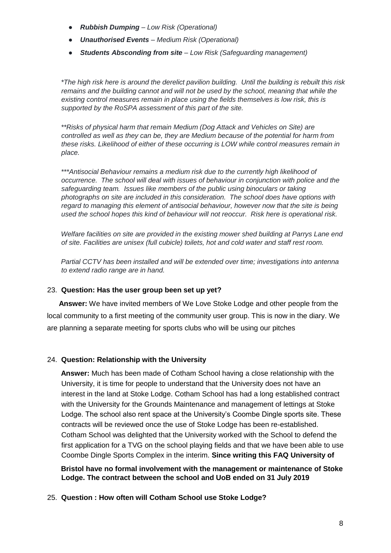- *● Rubbish Dumping – Low Risk (Operational)*
- *● Unauthorised Events – Medium Risk (Operational)*
- *● Students Absconding from site – Low Risk (Safeguarding management)*

*\*The high risk here is around the derelict pavilion building. Until the building is rebuilt this risk remains and the building cannot and will not be used by the school, meaning that while the*  existing control measures remain in place using the fields themselves is low risk, this is *supported by the RoSPA assessment of this part of the site.* 

*\*\*Risks of physical harm that remain Medium (Dog Attack and Vehicles on Site) are controlled as well as they can be, they are Medium because of the potential for harm from these risks. Likelihood of either of these occurring is LOW while control measures remain in place.* 

*\*\*\*Antisocial Behaviour remains a medium risk due to the currently high likelihood of occurrence. The school will deal with issues of behaviour in conjunction with police and the safeguarding team. Issues like members of the public using binoculars or taking photographs on site are included in this consideration. The school does have options with regard to managing this element of antisocial behaviour, however now that the site is being used the school hopes this kind of behaviour will not reoccur. Risk here is operational risk.* 

*Welfare facilities on site are provided in the existing mower shed building at Parrys Lane end of site. Facilities are unisex (full cubicle) toilets, hot and cold water and staff rest room.* 

*Partial CCTV has been installed and will be extended over time; investigations into antenna to extend radio range are in hand.* 

#### 23. **Question: Has the user group been set up yet?**

 **Answer:** We have invited members of We Love Stoke Lodge and other people from the local community to a first meeting of the community user group. This is now in the diary. We are planning a separate meeting for sports clubs who will be using our pitches

#### 24. **Question: Relationship with the University**

**Answer:** Much has been made of Cotham School having a close relationship with the University, it is time for people to understand that the University does not have an interest in the land at Stoke Lodge. Cotham School has had a long established contract with the University for the Grounds Maintenance and management of lettings at Stoke Lodge. The school also rent space at the University's Coombe Dingle sports site. These contracts will be reviewed once the use of Stoke Lodge has been re-established. Cotham School was delighted that the University worked with the School to defend the first application for a TVG on the school playing fields and that we have been able to use Coombe Dingle Sports Complex in the interim. **Since writing this FAQ University of** 

**Bristol have no formal involvement with the management or maintenance of Stoke Lodge. The contract between the school and UoB ended on 31 July 2019**

25. **Question : How often will Cotham School use Stoke Lodge?**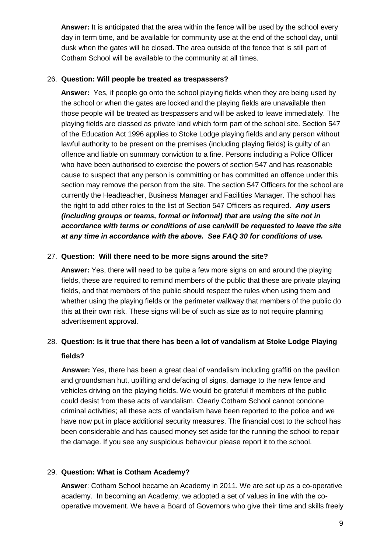**Answer:** It is anticipated that the area within the fence will be used by the school every day in term time, and be available for community use at the end of the school day, until dusk when the gates will be closed. The area outside of the fence that is still part of Cotham School will be available to the community at all times.

## 26. **Question: Will people be treated as trespassers?**

**Answer:** Yes, if people go onto the school playing fields when they are being used by the school or when the gates are locked and the playing fields are unavailable then those people will be treated as trespassers and will be asked to leave immediately. The playing fields are classed as private land which form part of the school site. Section 547 of the Education Act 1996 applies to Stoke Lodge playing fields and any person without lawful authority to be present on the premises (including playing fields) is guilty of an offence and liable on summary conviction to a fine. Persons including a Police Officer who have been authorised to exercise the powers of section 547 and has reasonable cause to suspect that any person is committing or has committed an offence under this section may remove the person from the site. The section 547 Officers for the school are currently the Headteacher, Business Manager and Facilities Manager. The school has the right to add other roles to the list of Section 547 Officers as required. *Any users (including groups or teams, formal or informal) that are using the site not in accordance with terms or conditions of use can/will be requested to leave the site at any time in accordance with the above. See FAQ 30 for conditions of use.* 

## 27. **Question: Will there need to be more signs around the site?**

**Answer:** Yes, there will need to be quite a few more signs on and around the playing fields, these are required to remind members of the public that these are private playing fields, and that members of the public should respect the rules when using them and whether using the playing fields or the perimeter walkway that members of the public do this at their own risk. These signs will be of such as size as to not require planning advertisement approval.

# 28. **Question: Is it true that there has been a lot of vandalism at Stoke Lodge Playing fields?**

 **Answer:** Yes, there has been a great deal of vandalism including graffiti on the pavilion and groundsman hut, uplifting and defacing of signs, damage to the new fence and vehicles driving on the playing fields. We would be grateful if members of the public could desist from these acts of vandalism. Clearly Cotham School cannot condone criminal activities; all these acts of vandalism have been reported to the police and we have now put in place additional security measures. The financial cost to the school has been considerable and has caused money set aside for the running the school to repair the damage. If you see any suspicious behaviour please report it to the school.

## 29. **Question: What is Cotham Academy?**

**Answer**: Cotham School became an Academy in 2011. We are set up as a co-operative academy. In becoming an Academy, we adopted a set of values in line with the cooperative movement. We have a Board of Governors who give their time and skills freely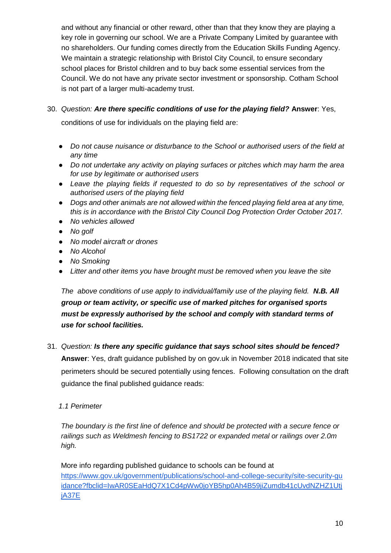and without any financial or other reward, other than that they know they are playing a key role in governing our school. We are a Private Company Limited by guarantee with no shareholders. Our funding comes directly from the Education Skills Funding Agency. We maintain a strategic relationship with Bristol City Council, to ensure secondary school places for Bristol children and to buy back some essential services from the Council. We do not have any private sector investment or sponsorship. Cotham School is not part of a larger multi-academy trust.

30. *Question: Are there specific conditions of use for the playing field?* **Answer**: Yes,

conditions of use for individuals on the playing field are:

- *● Do not cause nuisance or disturbance to the School or authorised users of the field at any time*
- *● Do not undertake any activity on playing surfaces or pitches which may harm the area for use by legitimate or authorised users*
- *● Leave the playing fields if requested to do so by representatives of the school or authorised users of the playing field*
- *● Dogs and other animals are not allowed within the fenced playing field area at any time, this is in accordance with the Bristol City Council Dog Protection Order October 2017.*
- *● No vehicles allowed*
- *● No golf*
- *● No model aircraft or drones*
- *● No Alcohol*
- *● No Smoking*
- Litter and other items you have brought must be removed when you leave the site

*The above conditions of use apply to individual/family use of the playing field.* **N.B. All** *group or team activity, or specific use of marked pitches for organised sports must be expressly authorised by the school and comply with standard terms of use for school facilities.*

31. *Question: Is there any specific guidance that says school sites should be fenced?* 

**Answer**: Yes, draft guidance published by on gov.uk in November 2018 indicated that site perimeters should be secured potentially using fences. Following consultation on the draft guidance the final published guidance reads:

## *1.1 Perimeter*

*The boundary is the first line of defence and should be protected with a secure fence or railings such as Weldmesh fencing to BS1722 or expanded metal or railings over 2.0m high.*

More info regarding published guidance to schools can be found at [https://www.gov.uk/government/publications/school-and-college-security/site-security-gu](https://www.gov.uk/government/publications/school-and-college-security/site-security-guidance?fbclid=IwAR0SEaHdQ7X1Cd4pWw0joYB5hp0Ah4B59jiZumdb41cUvdNZHZ1UtjjA37E)  [idance?fbclid=IwAR0SEaHdQ7X1Cd4pWw0joYB5hp0Ah4B59jiZumdb41cUvdNZHZ1Utj](https://www.gov.uk/government/publications/school-and-college-security/site-security-guidance?fbclid=IwAR0SEaHdQ7X1Cd4pWw0joYB5hp0Ah4B59jiZumdb41cUvdNZHZ1UtjjA37E)  [jA37E](https://www.gov.uk/government/publications/school-and-college-security/site-security-guidance?fbclid=IwAR0SEaHdQ7X1Cd4pWw0joYB5hp0Ah4B59jiZumdb41cUvdNZHZ1UtjjA37E)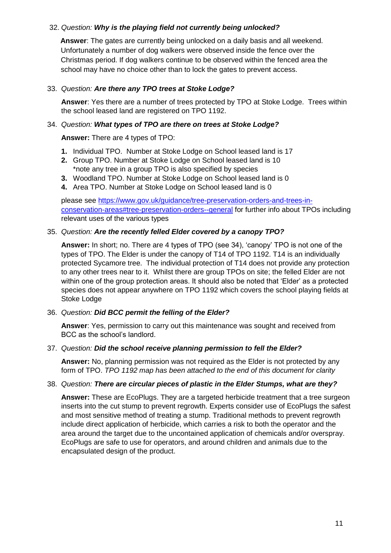## 32. *Question: Why is the playing field not currently being unlocked?*

**Answer**: The gates are currently being unlocked on a daily basis and all weekend. Unfortunately a number of dog walkers were observed inside the fence over the Christmas period. If dog walkers continue to be observed within the fenced area the school may have no choice other than to lock the gates to prevent access.

#### 33. *Question: Are there any TPO trees at Stoke Lodge?*

**Answer**: Yes there are a number of trees protected by TPO at Stoke Lodge. Trees within the school leased land are registered on TPO 1192.

#### 34. *Question: What types of TPO are there on trees at Stoke Lodge?*

**Answer:** There are 4 types of TPO:

- **1.** Individual TPO. Number at Stoke Lodge on School leased land is 17
- **2.** Group TPO. Number at Stoke Lodge on School leased land is 10 \*note any tree in a group TPO is also specified by species
- **3.** Woodland TPO. Number at Stoke Lodge on School leased land is 0
- **4.** Area TPO. Number at Stoke Lodge on School leased land is 0

please see [https://www.gov.uk/guidance/tree-preservation-orders-and-trees-in](https://www.gov.uk/guidance/tree-preservation-orders-and-trees-in-conservation-areas#tree-preservation-orders--general)[conservation-areas#tree-preservation-orders--general](https://www.gov.uk/guidance/tree-preservation-orders-and-trees-in-conservation-areas#tree-preservation-orders--general) for further info about TPOs including relevant uses of the various types

#### 35. *Question: Are the recently felled Elder covered by a canopy TPO?*

**Answer:** In short; no. There are 4 types of TPO (see 34), 'canopy' TPO is not one of the types of TPO. The Elder is under the canopy of T14 of TPO 1192. T14 is an individually protected Sycamore tree. The individual protection of T14 does not provide any protection to any other trees near to it. Whilst there are group TPOs on site; the felled Elder are not within one of the group protection areas. It should also be noted that 'Elder' as a protected species does not appear anywhere on TPO 1192 which covers the school playing fields at Stoke Lodge

#### 36. *Question: Did BCC permit the felling of the Elder?*

**Answer**: Yes, permission to carry out this maintenance was sought and received from BCC as the school's landlord.

#### 37. *Question: Did the school receive planning permission to fell the Elder?*

**Answer:** No, planning permission was not required as the Elder is not protected by any form of TPO. *TPO 1192 map has been attached to the end of this document for clarity*

#### 38. *Question: There are circular pieces of plastic in the Elder Stumps, what are they?*

**Answer:** These are EcoPlugs. They are a targeted herbicide treatment that a tree surgeon inserts into the cut stump to prevent regrowth. Experts consider use of EcoPlugs the safest and most sensitive method of treating a stump. Traditional methods to prevent regrowth include direct application of herbicide, which carries a risk to both the operator and the area around the target due to the uncontained application of chemicals and/or overspray. EcoPlugs are safe to use for operators, and around children and animals due to the encapsulated design of the product.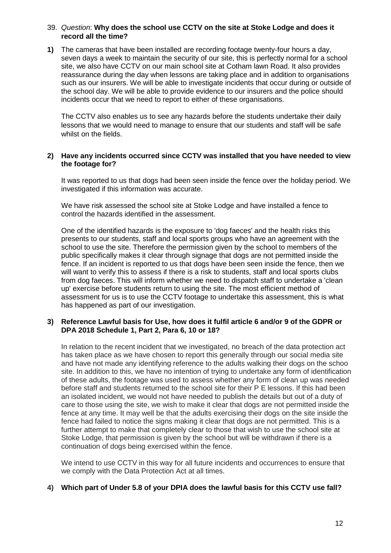#### 39. *Question*: **Why does the school use CCTV on the site at Stoke Lodge and does it record all the time?**

**1)** The cameras that have been installed are recording footage twenty-four hours a day, seven days a week to maintain the security of our site, this is perfectly normal for a school site, we also have CCTV on our main school site at Cotham lawn Road. It also provides reassurance during the day when lessons are taking place and in addition to organisations such as our insurers. We will be able to investigate incidents that occur during or outside of the school day. We will be able to provide evidence to our insurers and the police should incidents occur that we need to report to either of these organisations.

The CCTV also enables us to see any hazards before the students undertake their daily lessons that we would need to manage to ensure that our students and staff will be safe whilst on the fields.

#### **2) Have any incidents occurred since CCTV was installed that you have needed to view the footage for?**

It was reported to us that dogs had been seen inside the fence over the holiday period. We investigated if this information was accurate.

We have risk assessed the school site at Stoke Lodge and have installed a fence to control the hazards identified in the assessment.

One of the identified hazards is the exposure to 'dog faeces' and the health risks this presents to our students, staff and local sports groups who have an agreement with the school to use the site. Therefore the permission given by the school to members of the public specifically makes it clear through signage that dogs are not permitted inside the fence. If an incident is reported to us that dogs have been seen inside the fence, then we will want to verify this to assess if there is a risk to students, staff and local sports clubs from dog faeces. This will inform whether we need to dispatch staff to undertake a 'clean up' exercise before students return to using the site. The most efficient method of assessment for us is to use the CCTV footage to undertake this assessment, this is what has happened as part of our investigation.

#### **3) Reference Lawful basis for Use, how does it fulfil article 6 and/or 9 of the GDPR or DPA 2018 Schedule 1, Part 2, Para 6, 10 or 18?**

In relation to the recent incident that we investigated, no breach of the data protection act has taken place as we have chosen to report this generally through our social media site and have not made any identifying reference to the adults walking their dogs on the schoo site. In addition to this, we have no intention of trying to undertake any form of identification of these adults, the footage was used to assess whether any form of clean up was needed before staff and students returned to the school site for their P E lessons. If this had been an isolated incident, we would not have needed to publish the details but out of a duty of care to those using the site, we wish to make it clear that dogs are not permitted inside the fence at any time. It may well be that the adults exercising their dogs on the site inside the fence had failed to notice the signs making it clear that dogs are not permitted. This is a further attempt to make that completely clear to those that wish to use the school site at Stoke Lodge, that permission is given by the school but will be withdrawn if there is a continuation of dogs being exercised within the fence.

We intend to use CCTV in this way for all future incidents and occurrences to ensure that we comply with the Data Protection Act at all times.

#### **4) Which part of Under 5.8 of your DPIA does the lawful basis for this CCTV use fall?**